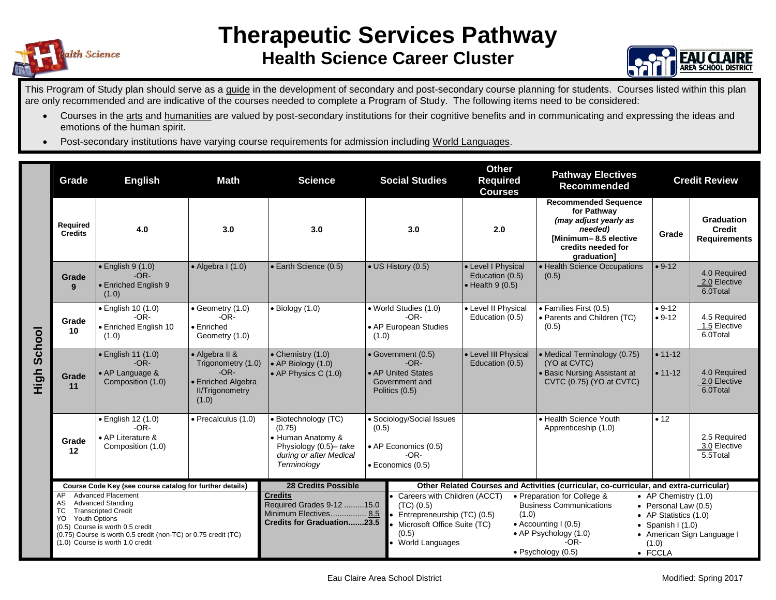



This Program of Study plan should serve as a guide in the development of secondary and post-secondary course planning for students. Courses listed within this plan are only recommended and are indicative of the courses needed to complete a Program of Study. The following items need to be considered:

- Courses in the arts and humanities are valued by post-secondary institutions for their cognitive benefits and in communicating and expressing the ideas and emotions of the human spirit.
- Post-secondary institutions have varying course requirements for admission including World Languages.

|        | Grade                                                                                                                                                                                                                                                                                  | <b>Math</b><br><b>English</b>                                                |                                                                                                                                                                                      | <b>Science</b>                                                                                                          |                                                                                           | <b>Social Studies</b>                                                                                                                                                                                                                                                                                                                                                                                                                                 | <b>Other</b><br><b>Required</b><br><b>Courses</b>                                      | <b>Pathway Electives</b><br>Recommended                                                                                                      | <b>Credit Review</b>     |                                                    |
|--------|----------------------------------------------------------------------------------------------------------------------------------------------------------------------------------------------------------------------------------------------------------------------------------------|------------------------------------------------------------------------------|--------------------------------------------------------------------------------------------------------------------------------------------------------------------------------------|-------------------------------------------------------------------------------------------------------------------------|-------------------------------------------------------------------------------------------|-------------------------------------------------------------------------------------------------------------------------------------------------------------------------------------------------------------------------------------------------------------------------------------------------------------------------------------------------------------------------------------------------------------------------------------------------------|----------------------------------------------------------------------------------------|----------------------------------------------------------------------------------------------------------------------------------------------|--------------------------|----------------------------------------------------|
| School | Required<br><b>Credits</b>                                                                                                                                                                                                                                                             | 4.0                                                                          | 3.0                                                                                                                                                                                  | 3.0                                                                                                                     | 3.0                                                                                       |                                                                                                                                                                                                                                                                                                                                                                                                                                                       | 2.0                                                                                    | <b>Recommended Sequence</b><br>for Pathway<br>(may adjust yearly as<br>needed)<br>[Minimum-8.5 elective<br>credits needed for<br>graduation] | Grade                    | Graduation<br><b>Credit</b><br><b>Requirements</b> |
|        | Grade<br>9                                                                                                                                                                                                                                                                             | $\bullet$ English 9 (1.0)<br>$-OR-$<br>• Enriched English 9<br>(1.0)         | $\bullet$ Algebra I (1.0)                                                                                                                                                            | · Earth Science (0.5)                                                                                                   | • US History (0.5)                                                                        |                                                                                                                                                                                                                                                                                                                                                                                                                                                       | • Level I Physical<br>Education (0.5)<br>$\bullet$ Health 9 (0.5)                      | • Health Science Occupations<br>(0.5)                                                                                                        | $• 9-12$                 | 4.0 Required<br>2.0 Elective<br>6.0Total           |
|        | Grade<br>10                                                                                                                                                                                                                                                                            | · English 10 (1.0)<br>$-OR-$<br>• Enriched English 10<br>(1.0)               | $\bullet$ Geometry (1.0)<br>$-OR-$<br>$\bullet$ Enriched<br>Geometry (1.0)                                                                                                           | $\bullet$ Biology (1.0)                                                                                                 | • World Studies (1.0)<br>$-OR-$<br>• AP European Studies<br>(1.0)                         |                                                                                                                                                                                                                                                                                                                                                                                                                                                       | • Level II Physical<br>Education (0.5)                                                 | · Families First (0.5)<br>• Parents and Children (TC)<br>(0.5)                                                                               | $• 9-12$<br>$• 9-12$     | 4.5 Required<br>1.5 Elective<br>6.0Total           |
| High   | Grade<br>11                                                                                                                                                                                                                                                                            | $\bullet$ English 11 (1.0)<br>$-OR-$<br>• AP Language &<br>Composition (1.0) | • Algebra II &<br>• Chemistry (1.0)<br>Trigonometry (1.0)<br>$\bullet$ AP Biology (1.0)<br>$-OR-$<br>• AP Physics C $(1.0)$<br>• Enriched Algebra<br><b>II/Trigonometry</b><br>(1.0) |                                                                                                                         | • Government (0.5)<br>$-OR-$<br>• AP United States<br>Government and<br>Politics (0.5)    |                                                                                                                                                                                                                                                                                                                                                                                                                                                       | • Level III Physical<br>Education (0.5)                                                | • Medical Terminology (0.75)<br>(YO at CVTC)<br><b>Basic Nursing Assistant at</b><br>CVTC (0.75) (YO at CVTC)                                | $• 11 - 12$<br>$• 11-12$ | 4.0 Required<br>2.0 Elective<br>6.0Total           |
|        | Grade<br>12                                                                                                                                                                                                                                                                            | · English 12 (1.0)<br>$-OR-$<br>• AP Literature &<br>Composition (1.0)       | $\bullet$ Precalculus (1.0)                                                                                                                                                          | · Biotechnology (TC)<br>(0.75)<br>• Human Anatomy &<br>Physiology (0.5)- take<br>during or after Medical<br>Terminology | • Sociology/Social Issues<br>(0.5)<br>• AP Economics (0.5)<br>$-OR-$<br>· Economics (0.5) |                                                                                                                                                                                                                                                                                                                                                                                                                                                       |                                                                                        | • Health Science Youth<br>Apprenticeship (1.0)                                                                                               | • 12                     | 2.5 Required<br>3.0 Elective<br>5.5Total           |
|        | Course Code Key (see course catalog for further details)                                                                                                                                                                                                                               |                                                                              |                                                                                                                                                                                      | <b>28 Credits Possible</b>                                                                                              |                                                                                           |                                                                                                                                                                                                                                                                                                                                                                                                                                                       | Other Related Courses and Activities (curricular, co-curricular, and extra-curricular) |                                                                                                                                              |                          |                                                    |
|        | <b>Advanced Placement</b><br>AP.<br>AS<br><b>Advanced Standing</b><br><b>TC</b><br><b>Transcripted Credit</b><br><b>Youth Options</b><br>YO.<br>(0.5) Course is worth 0.5 credit<br>(0.75) Course is worth 0.5 credit (non-TC) or 0.75 credit (TC)<br>(1.0) Course is worth 1.0 credit |                                                                              |                                                                                                                                                                                      | <b>Credits</b><br>Required Grades 9-12 15.0<br>Minimum Electives 8.5<br><b>Credits for Graduation23.5</b>               |                                                                                           | Careers with Children (ACCT)<br>• Preparation for College &<br>• AP Chemistry (1.0)<br><b>Business Communications</b><br>$(TC)$ $(0.5)$<br>• Personal Law (0.5)<br>(1.0)<br>Entrepreneurship (TC) (0.5)<br>• AP Statistics (1.0)<br>Microsoft Office Suite (TC)<br>• Accounting $(0.5)$<br>• Spanish I $(1.0)$<br>(0.5)<br>• AP Psychology (1.0)<br>• American Sign Language I<br>World Languages<br>$-OR-$<br>(1.0)<br>· Psychology (0.5)<br>• FCCLA |                                                                                        |                                                                                                                                              |                          |                                                    |